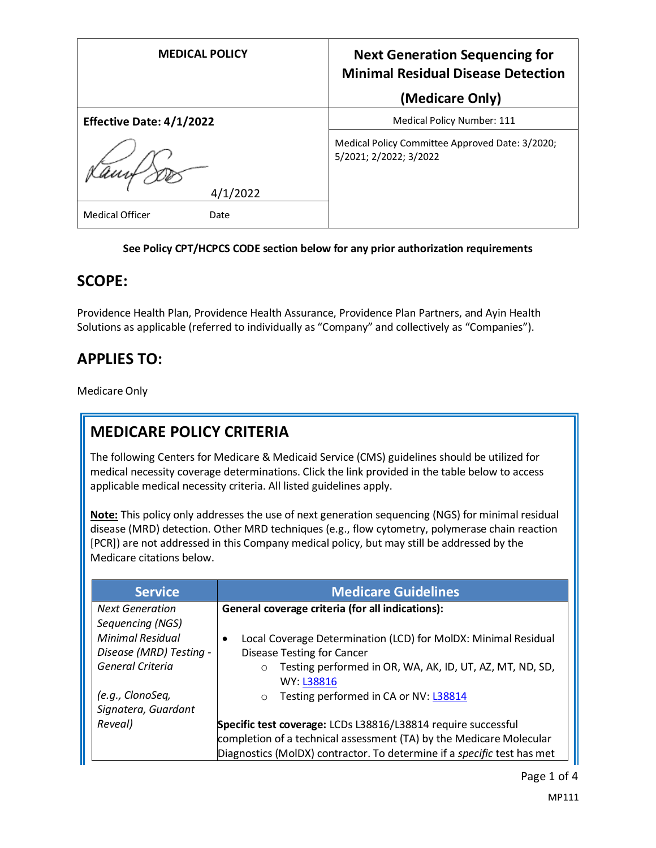| <b>MEDICAL POLICY</b>           | <b>Next Generation Sequencing for</b><br><b>Minimal Residual Disease Detection</b> |  |
|---------------------------------|------------------------------------------------------------------------------------|--|
|                                 | (Medicare Only)                                                                    |  |
| <b>Effective Date: 4/1/2022</b> | Medical Policy Number: 111                                                         |  |
| 4/1/2022                        | Medical Policy Committee Approved Date: 3/2020;<br>5/2021; 2/2022; 3/2022          |  |
| <b>Medical Officer</b><br>Date  |                                                                                    |  |

#### **See Policy CPT/HCPCS CODE section below for any prior authorization requirements**

### **SCOPE:**

Providence Health Plan, Providence Health Assurance, Providence Plan Partners, and Ayin Health Solutions as applicable (referred to individually as "Company" and collectively as "Companies").

## **APPLIES TO:**

Medicare Only

## **MEDICARE POLICY CRITERIA**

The following Centers for Medicare & Medicaid Service (CMS) guidelines should be utilized for medical necessity coverage determinations. Click the link provided in the table below to access applicable medical necessity criteria. All listed guidelines apply.

**Note:** This policy only addresses the use of next generation sequencing (NGS) for minimal residual disease (MRD) detection. Other MRD techniques (e.g., flow cytometry, polymerase chain reaction [PCR]) are not addressed in this Company medical policy, but may still be addressed by the Medicare citations below.

| <b>Service</b>                              | <b>Medicare Guidelines</b>                                                                                                           |
|---------------------------------------------|--------------------------------------------------------------------------------------------------------------------------------------|
| <b>Next Generation</b><br>Sequencing (NGS)  | General coverage criteria (for all indications):                                                                                     |
| <b>Minimal Residual</b>                     | Local Coverage Determination (LCD) for MolDX: Minimal Residual                                                                       |
| Disease (MRD) Testing -<br>General Criteria | <b>Disease Testing for Cancer</b><br>Testing performed in OR, WA, AK, ID, UT, AZ, MT, ND, SD,<br>$\circ$                             |
|                                             | WY: L38816                                                                                                                           |
| (e.g., ClonoSeq,<br>Signatera, Guardant     | Testing performed in CA or NV: L38814<br>$\circ$                                                                                     |
| Reveal)                                     | Specific test coverage: LCDs L38816/L38814 require successful<br>completion of a technical assessment (TA) by the Medicare Molecular |
|                                             | Diagnostics (MoIDX) contractor. To determine if a specific test has met                                                              |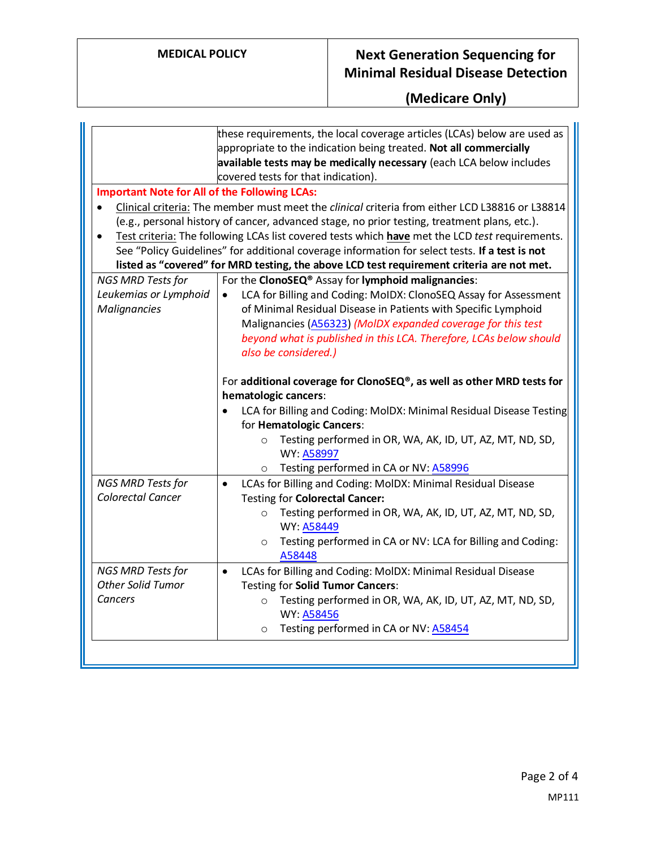## **MEDICAL POLICY Next Generation Sequencing for Minimal Residual Disease Detection**

# **(Medicare Only)**

|                                                                   | these requirements, the local coverage articles (LCAs) below are used as<br>appropriate to the indication being treated. Not all commercially<br>available tests may be medically necessary (each LCA below includes<br>covered tests for that indication).                                                                                                                                   |
|-------------------------------------------------------------------|-----------------------------------------------------------------------------------------------------------------------------------------------------------------------------------------------------------------------------------------------------------------------------------------------------------------------------------------------------------------------------------------------|
| <b>Important Note for All of the Following LCAs:</b><br>$\bullet$ | Clinical criteria: The member must meet the clinical criteria from either LCD L38816 or L38814                                                                                                                                                                                                                                                                                                |
| $\bullet$                                                         | (e.g., personal history of cancer, advanced stage, no prior testing, treatment plans, etc.).<br>Test criteria: The following LCAs list covered tests which have met the LCD test requirements.<br>See "Policy Guidelines" for additional coverage information for select tests. If a test is not<br>listed as "covered" for MRD testing, the above LCD test requirement criteria are not met. |
| <b>NGS MRD Tests for</b>                                          | For the ClonoSEQ® Assay for lymphoid malignancies:                                                                                                                                                                                                                                                                                                                                            |
| Leukemias or Lymphoid<br><b>Malignancies</b>                      | LCA for Billing and Coding: MoIDX: ClonoSEQ Assay for Assessment<br>$\bullet$<br>of Minimal Residual Disease in Patients with Specific Lymphoid<br>Malignancies (A56323) (MolDX expanded coverage for this test<br>beyond what is published in this LCA. Therefore, LCAs below should<br>also be considered.)                                                                                 |
|                                                                   | For additional coverage for ClonoSEQ®, as well as other MRD tests for<br>hematologic cancers:<br>LCA for Billing and Coding: MolDX: Minimal Residual Disease Testing                                                                                                                                                                                                                          |
|                                                                   | for Hematologic Cancers:                                                                                                                                                                                                                                                                                                                                                                      |
|                                                                   | Testing performed in OR, WA, AK, ID, UT, AZ, MT, ND, SD,<br>$\circ$<br>WY: A58997                                                                                                                                                                                                                                                                                                             |
|                                                                   | Testing performed in CA or NV: A58996<br>$\circ$                                                                                                                                                                                                                                                                                                                                              |
| NGS MRD Tests for<br>Colorectal Cancer                            | LCAs for Billing and Coding: MoIDX: Minimal Residual Disease<br>$\bullet$<br>Testing for Colorectal Cancer:<br>Testing performed in OR, WA, AK, ID, UT, AZ, MT, ND, SD,<br>$\circ$                                                                                                                                                                                                            |
|                                                                   | WY: A58449<br>Testing performed in CA or NV: LCA for Billing and Coding:<br>$\circ$<br>A58448                                                                                                                                                                                                                                                                                                 |
| NGS MRD Tests for                                                 | LCAs for Billing and Coding: MoIDX: Minimal Residual Disease<br>$\bullet$                                                                                                                                                                                                                                                                                                                     |
| <b>Other Solid Tumor</b><br>Cancers                               | Testing for Solid Tumor Cancers:<br>Testing performed in OR, WA, AK, ID, UT, AZ, MT, ND, SD,<br>$\circ$<br><b>WY: A58456</b><br>Testing performed in CA or NV: A58454<br>$\circ$                                                                                                                                                                                                              |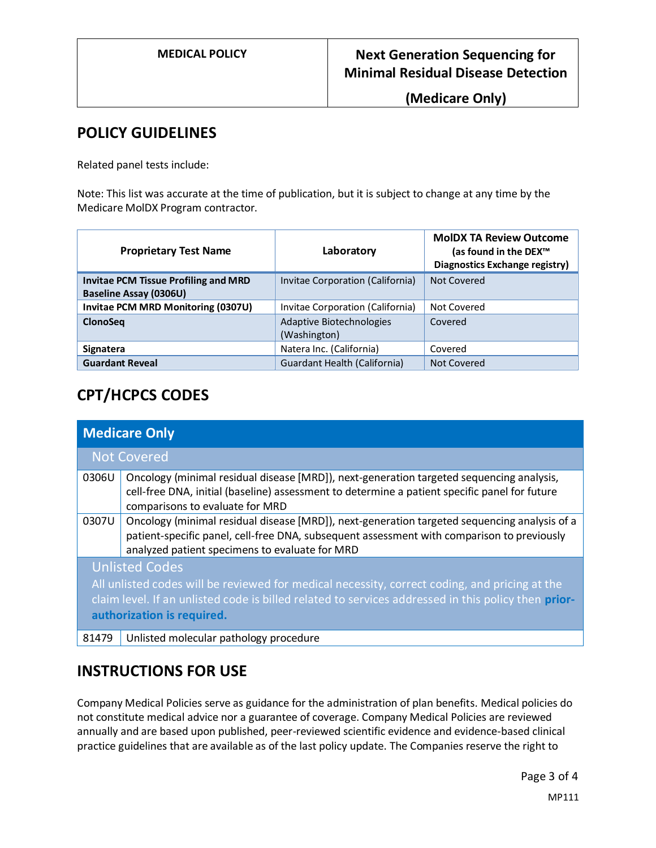**MEDICAL POLICY Next Generation Sequencing for Minimal Residual Disease Detection** 

**(Medicare Only)**

### **POLICY GUIDELINES**

Related panel tests include:

Note: This list was accurate at the time of publication, but it is subject to change at any time by the Medicare MolDX Program contractor.

| <b>Proprietary Test Name</b>                                                 | Laboratory                               | <b>MoIDX TA Review Outcome</b><br>(as found in the DEX <sup>™</sup><br>Diagnostics Exchange registry) |
|------------------------------------------------------------------------------|------------------------------------------|-------------------------------------------------------------------------------------------------------|
| <b>Invitae PCM Tissue Profiling and MRD</b><br><b>Baseline Assay (0306U)</b> | Invitae Corporation (California)         | Not Covered                                                                                           |
| Invitae PCM MRD Monitoring (0307U)                                           | Invitae Corporation (California)         | Not Covered                                                                                           |
| <b>ClonoSeg</b>                                                              | Adaptive Biotechnologies<br>(Washington) | Covered                                                                                               |
| Signatera                                                                    | Natera Inc. (California)                 | Covered                                                                                               |
| <b>Guardant Reveal</b>                                                       | Guardant Health (California)             | Not Covered                                                                                           |

# **CPT/HCPCS CODES**

| <b>Medicare Only</b> |                                                                                                                                                                                                                                                             |  |
|----------------------|-------------------------------------------------------------------------------------------------------------------------------------------------------------------------------------------------------------------------------------------------------------|--|
|                      | <b>Not Covered</b>                                                                                                                                                                                                                                          |  |
| 0306U                | Oncology (minimal residual disease [MRD]), next-generation targeted sequencing analysis,<br>cell-free DNA, initial (baseline) assessment to determine a patient specific panel for future<br>comparisons to evaluate for MRD                                |  |
| 0307U                | Oncology (minimal residual disease [MRD]), next-generation targeted sequencing analysis of a<br>patient-specific panel, cell-free DNA, subsequent assessment with comparison to previously<br>analyzed patient specimens to evaluate for MRD                |  |
|                      | <b>Unlisted Codes</b><br>All unlisted codes will be reviewed for medical necessity, correct coding, and pricing at the<br>claim level. If an unlisted code is billed related to services addressed in this policy then prior-<br>authorization is required. |  |
| 81479                | Unlisted molecular pathology procedure                                                                                                                                                                                                                      |  |

## **INSTRUCTIONS FOR USE**

Company Medical Policies serve as guidance for the administration of plan benefits. Medical policies do not constitute medical advice nor a guarantee of coverage. Company Medical Policies are reviewed annually and are based upon published, peer-reviewed scientific evidence and evidence-based clinical practice guidelines that are available as of the last policy update. The Companies reserve the right to